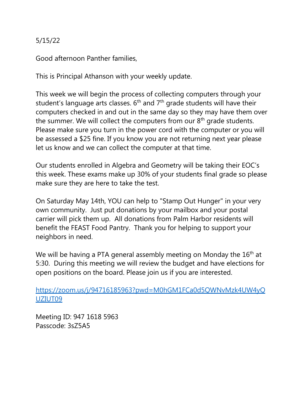## 5/15/22

Good afternoon Panther families,

This is Principal Athanson with your weekly update.

This week we will begin the process of collecting computers through your student's language arts classes.  $6<sup>th</sup>$  and  $7<sup>th</sup>$  grade students will have their computers checked in and out in the same day so they may have them over the summer. We will collect the computers from our  $8<sup>th</sup>$  grade students. Please make sure you turn in the power cord with the computer or you will be assessed a \$25 fine. If you know you are not returning next year please let us know and we can collect the computer at that time.

Our students enrolled in Algebra and Geometry will be taking their EOC's this week. These exams make up 30% of your students final grade so please make sure they are here to take the test.

On Saturday May 14th, YOU can help to "Stamp Out Hunger" in your very own community. Just put donations by your mailbox and your postal carrier will pick them up. All donations from Palm Harbor residents will benefit the FEAST Food Pantry. Thank you for helping to support your neighbors in need.

We will be having a PTA general assembly meeting on Monday the 16<sup>th</sup> at 5:30. During this meeting we will review the budget and have elections for open positions on the board. Please join us if you are interested.

[https://zoom.us/j/94716185963?pwd=M0hGM1FCa0d5QWNvMzk4UW4yQ](https://zoom.us/j/94716185963?pwd=M0hGM1FCa0d5QWNvMzk4UW4yQUZIUT09) [UZIUT09](https://zoom.us/j/94716185963?pwd=M0hGM1FCa0d5QWNvMzk4UW4yQUZIUT09)

Meeting ID: 947 1618 5963 Passcode: 3sZ5A5